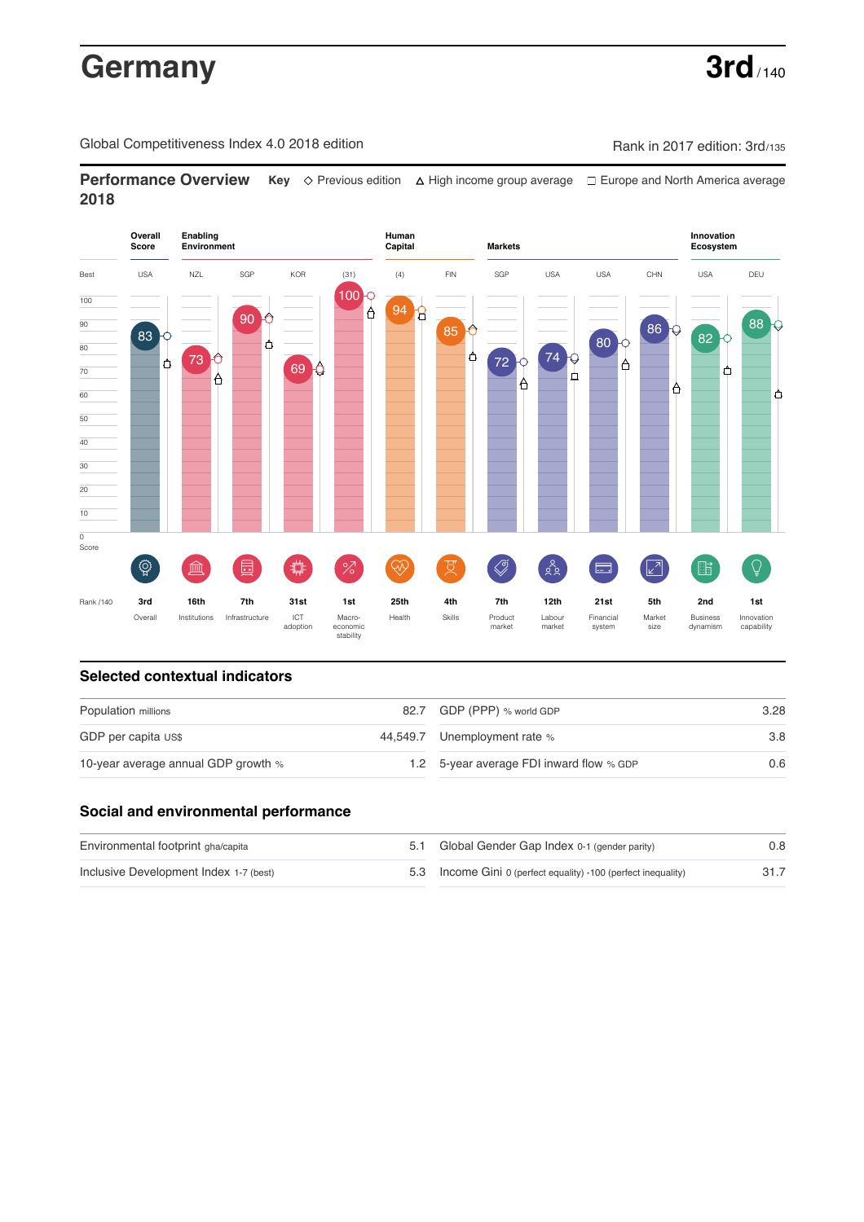# Germany **3rd** / 140

Global Competitiveness Index 4.0 2018 edition Competitiveness Index 4.0 2018 edition

**Performance Overview** Key  $\Diamond$  Previous edition ∆ High income group average  $\Box$  Europe and North America average **2018**



# **Selected contextual indicators**

| Population millions                 | 82.7 GDP (PPP) % world GDP               | 3.28 |  |
|-------------------------------------|------------------------------------------|------|--|
| GDP per capita US\$                 | 44,549.7 Unemployment rate %             | 3.8  |  |
| 10-year average annual GDP growth % | 1.2 5-year average FDI inward flow % GDP | 0.6  |  |

## **Social and environmental performance**

| Environmental footprint gha/capita     | 5.1 Global Gender Gap Index 0-1 (gender parity)                | 0.8  |
|----------------------------------------|----------------------------------------------------------------|------|
| Inclusive Development Index 1-7 (best) | 5.3 Income Gini 0 (perfect equality) -100 (perfect inequality) | 31.7 |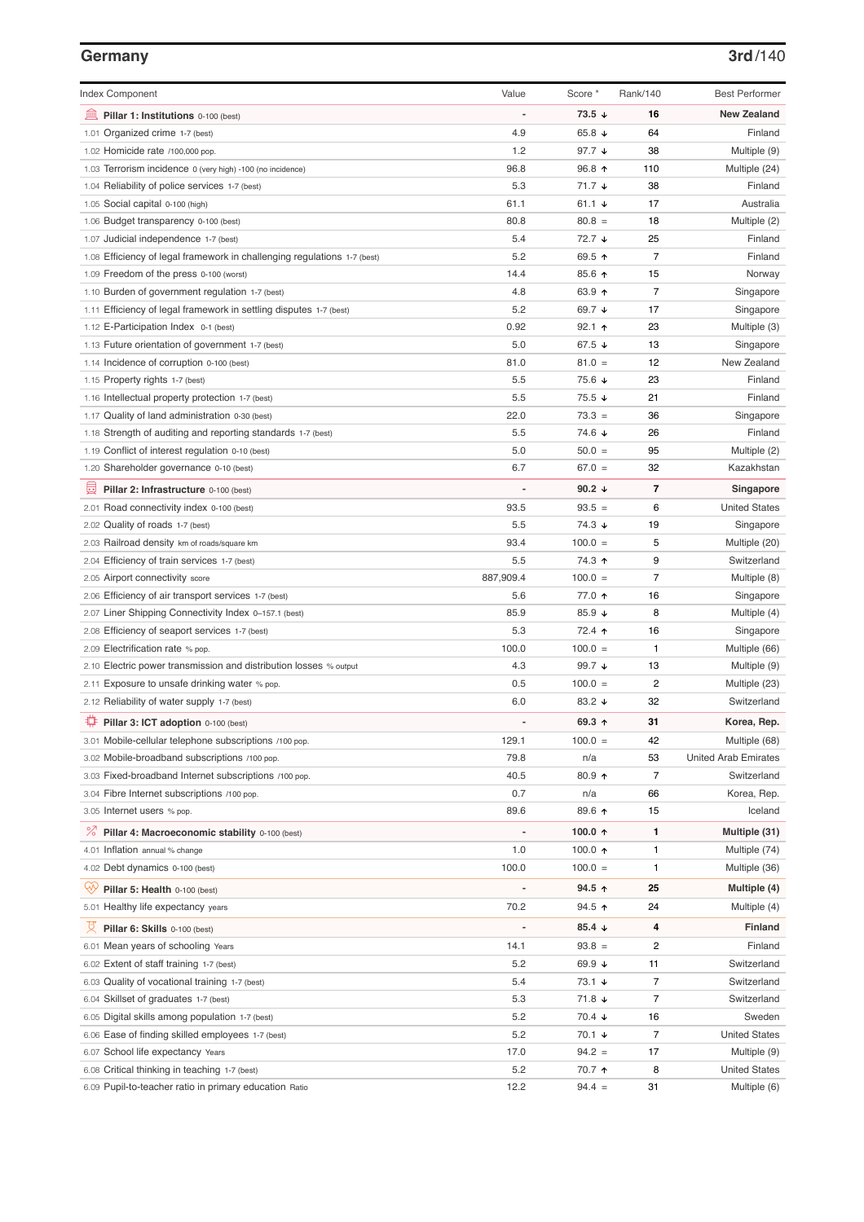### **Germany 3rd**/140

| <b>Index Component</b>                                                   | Value          | Score *                | Rank/140                 | <b>Best Performer</b>       |
|--------------------------------------------------------------------------|----------------|------------------------|--------------------------|-----------------------------|
| 寙<br>Pillar 1: Institutions 0-100 (best)                                 |                | $73.5 \downarrow$      | 16                       | <b>New Zealand</b>          |
| 1.01 Organized crime 1-7 (best)                                          | 4.9            | 65.8 $\sqrt{ }$        | 64                       | Finland                     |
| 1.02 Homicide rate /100,000 pop.                                         | 1.2            | 97.7 $\sqrt{ }$        | 38                       | Multiple (9)                |
| 1.03 Terrorism incidence 0 (very high) -100 (no incidence)               | 96.8           | 96.8 ↑                 | 110                      | Multiple (24)               |
| 1.04 Reliability of police services 1-7 (best)                           | 5.3            | $71.7 \;$ $\downarrow$ | 38                       | Finland                     |
| 1.05 Social capital 0-100 (high)                                         | 61.1           | 61.1 $\sqrt{ }$        | 17                       | Australia                   |
| 1.06 Budget transparency 0-100 (best)                                    | 80.8           | $80.8 =$               | 18                       | Multiple (2)                |
| 1.07 Judicial independence 1-7 (best)                                    | 5.4            | 72.7 ↓                 | 25                       | Finland                     |
| 1.08 Efficiency of legal framework in challenging regulations 1-7 (best) | 5.2            | 69.5 ↑                 | $\overline{7}$           | Finland                     |
| 1.09 Freedom of the press 0-100 (worst)                                  | 14.4           | 85.6 ↑                 | 15                       | Norway                      |
| 1.10 Burden of government regulation 1-7 (best)                          | 4.8            | 63.9 ↑                 | $\overline{7}$           | Singapore                   |
| 1.11 Efficiency of legal framework in settling disputes 1-7 (best)       | 5.2            | 69.7 ↓                 | 17                       | Singapore                   |
| 1.12 E-Participation Index 0-1 (best)                                    | 0.92           | $92.1$ 1               | 23                       | Multiple (3)                |
| 1.13 Future orientation of government 1-7 (best)                         | 5.0            | 67.5 $\sqrt{ }$        | 13                       | Singapore                   |
| 1.14 Incidence of corruption 0-100 (best)                                | 81.0           | $81.0 =$               | 12                       | New Zealand                 |
| 1.15 Property rights 1-7 (best)                                          | 5.5            | 75.6 ↓                 | 23                       | Finland                     |
| 1.16 Intellectual property protection 1-7 (best)                         | 5.5            | 75.5 ↓                 | 21                       | Finland                     |
| 1.17 Quality of land administration 0-30 (best)                          | 22.0           | $73.3 =$               | 36                       | Singapore                   |
| 1.18 Strength of auditing and reporting standards 1-7 (best)             | 5.5            | 74.6 ↓                 | 26                       | Finland                     |
| 1.19 Conflict of interest regulation 0-10 (best)                         | 5.0            | $50.0 =$               | 95                       | Multiple (2)                |
| 1.20 Shareholder governance 0-10 (best)                                  | 6.7            | $67.0 =$               | 32                       | Kazakhstan                  |
| 員<br>Pillar 2: Infrastructure 0-100 (best)                               |                | 90.2 $\sqrt{ }$        | 7                        | Singapore                   |
| 2.01 Road connectivity index 0-100 (best)                                | 93.5           | $93.5 =$               | 6                        | <b>United States</b>        |
| 2.02 Quality of roads 1-7 (best)                                         | 5.5            | 74.3 ↓                 | 19                       | Singapore                   |
| 2.03 Railroad density km of roads/square km                              | 93.4           | $100.0 =$              | 5                        | Multiple (20)               |
| 2.04 Efficiency of train services 1-7 (best)                             | 5.5            | 74.3 ↑                 | 9                        | Switzerland                 |
| 2.05 Airport connectivity score                                          | 887,909.4      | $100.0 =$              | $\overline{7}$           | Multiple (8)                |
| 2.06 Efficiency of air transport services 1-7 (best)                     | 5.6            | 77.0 ↑                 | 16                       | Singapore                   |
| 2.07 Liner Shipping Connectivity Index 0-157.1 (best)                    | 85.9           | 85.9 $\sqrt{ }$        | 8                        | Multiple (4)                |
| 2.08 Efficiency of seaport services 1-7 (best)                           | 5.3            | 72.4 1                 | 16                       | Singapore                   |
| 2.09 Electrification rate % pop.                                         | 100.0          | $100.0 =$              | 1                        | Multiple (66)               |
| 2.10 Electric power transmission and distribution losses % output        | 4.3            | 99.7 $\sqrt{ }$        | 13                       | Multiple (9)                |
| 2.11 Exposure to unsafe drinking water % pop.                            | 0.5            | $100.0 =$              | $\overline{c}$           | Multiple (23)               |
| 2.12 Reliability of water supply 1-7 (best)                              | 6.0            | 83.2 $\sqrt{ }$        | 32                       | Switzerland                 |
| ₩<br>Pillar 3: ICT adoption 0-100 (best)                                 |                | 69.3 ↑                 | 31                       | Korea, Rep.                 |
| 3.01 Mobile-cellular telephone subscriptions /100 pop.                   | 129.1          | $100.0 =$              | 42                       | Multiple (68)               |
| 3.02 Mobile-broadband subscriptions /100 pop.                            | 79.8           | n/a                    | 53                       | <b>United Arab Emirates</b> |
| 3.03 Fixed-broadband Internet subscriptions /100 pop.                    | 40.5           | 80.9 个                 | $\overline{7}$           | Switzerland                 |
| 3.04 Fibre Internet subscriptions /100 pop.                              | 0.7            | n/a                    | 66                       | Korea, Rep.                 |
| 3.05 Internet users % pop.                                               | 89.6           | 89.6 个                 | 15                       | Iceland                     |
| ℅<br>Pillar 4: Macroeconomic stability 0-100 (best)                      | $\overline{a}$ | 100.0 $\uparrow$       | 1                        | Multiple (31)               |
| 4.01 Inflation annual % change                                           | 1.0            | 100.0 $\uparrow$       | 1                        | Multiple (74)               |
| 4.02 Debt dynamics 0-100 (best)                                          | 100.0          | $100.0 =$              | 1                        | Multiple (36)               |
| Ųy<br>Pillar 5: Health 0-100 (best)                                      |                | 94.5 $\uparrow$        | 25                       | Multiple (4)                |
| 5.01 Healthy life expectancy years                                       | 70.2           | $94.5$ ↑               | 24                       | Multiple (4)                |
| Pillar 6: Skills 0-100 (best)                                            |                | 85.4 $\sqrt{ }$        | 4                        | <b>Finland</b>              |
| 6.01 Mean years of schooling Years                                       | 14.1           | $93.8 =$               | 2                        | Finland                     |
| 6.02 Extent of staff training 1-7 (best)                                 | 5.2            | 69.9 ↓                 | 11                       | Switzerland                 |
| 6.03 Quality of vocational training 1-7 (best)                           | 5.4            | $73.1 +$               | $\overline{7}$           | Switzerland                 |
| 6.04 Skillset of graduates 1-7 (best)                                    | 5.3            | 71.8 ↓                 | $\overline{\mathcal{I}}$ | Switzerland                 |
| 6.05 Digital skills among population 1-7 (best)                          | 5.2            | $70.4 \; \downarrow$   | 16                       | Sweden                      |
| 6.06 Ease of finding skilled employees 1-7 (best)                        | 5.2            | 70.1 ↓                 | $\overline{7}$           | <b>United States</b>        |
| 6.07 School life expectancy Years                                        | 17.0           | $94.2 =$               | 17                       | Multiple (9)                |
| 6.08 Critical thinking in teaching 1-7 (best)                            | 5.2            | 70.7 ↑                 | 8                        | <b>United States</b>        |
| 6.09 Pupil-to-teacher ratio in primary education Ratio                   | 12.2           | $94.4 =$               | 31                       | Multiple (6)                |